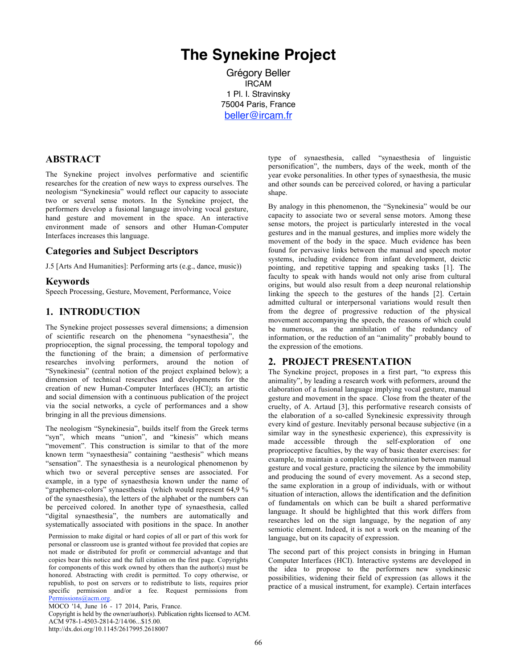# **The Synekine Project**

Grégory Beller IRCAM 1 Pl. I. Stravinsky 75004 Paris, France beller@ircam.fr

#### **ABSTRACT**

The Synekine project involves performative and scientific researches for the creation of new ways to express ourselves. The neologism "Synekinesia" would reflect our capacity to associate two or several sense motors. In the Synekine project, the performers develop a fusional language involving vocal gesture, hand gesture and movement in the space. An interactive environment made of sensors and other Human-Computer Interfaces increases this language.

#### **Categories and Subject Descriptors**

J.5 [Arts And Humanities]: Performing arts (e.g., dance, music))

#### **Keywords**

Speech Processing, Gesture, Movement, Performance, Voice

### **1. INTRODUCTION**

The Synekine project possesses several dimensions; a dimension of scientific research on the phenomena "synaesthesia", the proprioception, the signal processing, the temporal topology and the functioning of the brain; a dimension of performative researches involving performers, around the notion of "Synekinesia" (central notion of the project explained below); a dimension of technical researches and developments for the creation of new Human-Computer Interfaces (HCI); an artistic and social dimension with a continuous publication of the project via the social networks, a cycle of performances and a show bringing in all the previous dimensions.

The neologism "Synekinesia", builds itself from the Greek terms "syn", which means "union", and "kinesis" which means "movement". This construction is similar to that of the more known term "synaesthesia" containing "aesthesis" which means "sensation". The synaesthesia is a neurological phenomenon by which two or several perceptive senses are associated. For example, in a type of synaesthesia known under the name of "graphemes-colors" synaesthesia (which would represent 64,9 % of the synaesthesia), the letters of the alphabet or the numbers can be perceived colored. In another type of synaesthesia, called "digital synaesthesia", the numbers are automatically and systematically associated with positions in the space. In another

Permission to make digital or hard copies of all or part of this work for personal or classroom use is granted without fee provided that copies are not made or distributed for profit or commercial advantage and that copies bear this notice and the full citation on the first page. Copyrights for components of this work owned by others than the author(s) must be honored. Abstracting with credit is permitted. To copy otherwise, or republish, to post on servers or to redistribute to lists, requires prior specific permission and/or a fee. Request permissions from Permissions@acm.org.

MOCO '14, June 16 - 17 2014, Paris, France.

Copyright is held by the owner/author(s). Publication rights licensed to ACM. ACM 978-1-4503-2814-2/14/06...\$15.00. http://dx.doi.org/10.1145/2617995.2618007

type of synaesthesia, called "synaesthesia of linguistic personification", the numbers, days of the week, month of the year evoke personalities. In other types of synaesthesia, the music and other sounds can be perceived colored, or having a particular shape.

By analogy in this phenomenon, the "Synekinesia" would be our capacity to associate two or several sense motors. Among these sense motors, the project is particularly interested in the vocal gestures and in the manual gestures, and implies more widely the movement of the body in the space. Much evidence has been found for pervasive links between the manual and speech motor systems, including evidence from infant development, deictic pointing, and repetitive tapping and speaking tasks [1]. The faculty to speak with hands would not only arise from cultural origins, but would also result from a deep neuronal relationship linking the speech to the gestures of the hands [2]. Certain admitted cultural or interpersonal variations would result then from the degree of progressive reduction of the physical movement accompanying the speech, the reasons of which could be numerous, as the annihilation of the redundancy of information, or the reduction of an "animality" probably bound to the expression of the emotions.

# **2. PROJECT PRESENTATION**

The Synekine project, proposes in a first part, "to express this animality", by leading a research work with peformers, around the elaboration of a fusional language implying vocal gesture, manual gesture and movement in the space. Close from the theater of the cruelty, of A. Artaud [3], this performative research consists of the elaboration of a so-called Synekinesic expressivity through every kind of gesture. Inevitably personal because subjective (in a similar way in the synesthesic experience), this expressivity is made accessible through the self-exploration of one proprioceptive faculties, by the way of basic theater exercises: for example, to maintain a complete synchronization between manual gesture and vocal gesture, practicing the silence by the immobility and producing the sound of every movement. As a second step, the same exploration in a group of individuals, with or without situation of interaction, allows the identification and the definition of fundamentals on which can be built a shared performative language. It should be highlighted that this work differs from researches led on the sign language, by the negation of any semiotic element. Indeed, it is not a work on the meaning of the language, but on its capacity of expression.

The second part of this project consists in bringing in Human Computer Interfaces (HCI). Interactive systems are developed in the idea to propose to the performers new synekinesic possibilities, widening their field of expression (as allows it the practice of a musical instrument, for example). Certain interfaces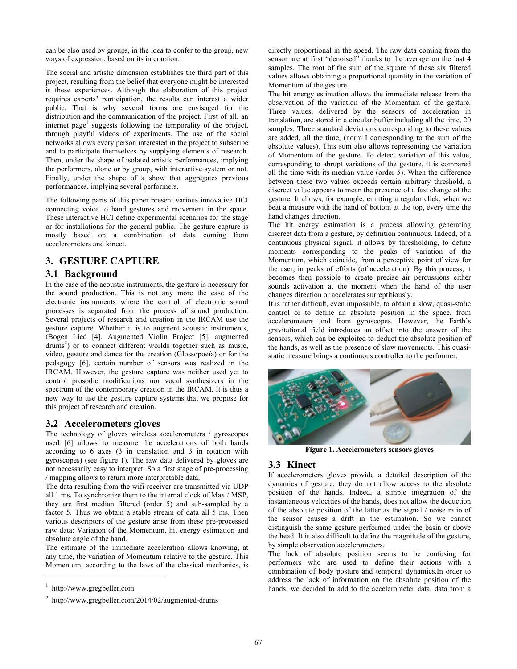can be also used by groups, in the idea to confer to the group, new ways of expression, based on its interaction.

The social and artistic dimension establishes the third part of this project, resulting from the belief that everyone might be interested is these experiences. Although the elaboration of this project requires experts' participation, the results can interest a wider public. That is why several forms are envisaged for the distribution and the communication of the project. First of all, an internet page<sup>1</sup> suggests following the temporality of the project, through playful videos of experiments. The use of the social networks allows every person interested in the project to subscribe and to participate themselves by supplying elements of research. Then, under the shape of isolated artistic performances, implying the performers, alone or by group, with interactive system or not. Finally, under the shape of a show that aggregates previous performances, implying several performers.

The following parts of this paper present various innovative HCI connecting voice to hand gestures and movement in the space. These interactive HCI define experimental scenarios for the stage or for installations for the general public. The gesture capture is mostly based on a combination of data coming from accelerometers and kinect.

# **3. GESTURE CAPTURE**

#### **3.1 Background**

In the case of the acoustic instruments, the gesture is necessary for the sound production. This is not any more the case of the electronic instruments where the control of electronic sound processes is separated from the process of sound production. Several projects of research and creation in the IRCAM use the gesture capture. Whether it is to augment acoustic instruments, (Bogen Lied [4], Augmented Violin Project [5], augmented drums<sup>2</sup>) or to connect different worlds together such as music, video, gesture and dance for the creation (Glossopoeïa) or for the pedagogy [6], certain number of sensors was realized in the IRCAM. However, the gesture capture was neither used yet to control prosodic modifications nor vocal synthesizers in the spectrum of the contemporary creation in the IRCAM. It is thus a new way to use the gesture capture systems that we propose for this project of research and creation.

# **3.2 Accelerometers gloves**

The technology of gloves wireless accelerometers / gyroscopes used [6] allows to measure the accelerations of both hands according to 6 axes (3 in translation and 3 in rotation with gyroscopes) (see figure 1). The raw data delivered by gloves are not necessarily easy to interpret. So a first stage of pre-processing / mapping allows to return more interpretable data.

The data resulting from the wifi receiver are transmitted via UDP all 1 ms. To synchronize them to the internal clock of Max / MSP, they are first median filtered (order 5) and sub-sampled by a factor 5. Thus we obtain a stable stream of data all 5 ms. Then various descriptors of the gesture arise from these pre-processed raw data: Variation of the Momentum, hit energy estimation and absolute angle of the hand.

The estimate of the immediate acceleration allows knowing, at any time, the variation of Momentum relative to the gesture. This Momentum, according to the laws of the classical mechanics, is

1

directly proportional in the speed. The raw data coming from the sensor are at first "denoised" thanks to the average on the last 4 samples. The root of the sum of the square of these six filtered values allows obtaining a proportional quantity in the variation of Momentum of the gesture.

The hit energy estimation allows the immediate release from the observation of the variation of the Momentum of the gesture. Three values, delivered by the sensors of acceleration in translation, are stored in a circular buffer including all the time, 20 samples. Three standard deviations corresponding to these values are added, all the time, (norm I corresponding to the sum of the absolute values). This sum also allows representing the variation of Momentum of the gesture. To detect variation of this value, corresponding to abrupt variations of the gesture, it is compared all the time with its median value (order 5). When the difference between these two values exceeds certain arbitrary threshold, a discreet value appears to mean the presence of a fast change of the gesture. It allows, for example, emitting a regular click, when we beat a measure with the hand of bottom at the top, every time the hand changes direction.

The hit energy estimation is a process allowing generating discreet data from a gesture, by definition continuous. Indeed, of a continuous physical signal, it allows by thresholding, to define moments corresponding to the peaks of variation of the Momentum, which coincide, from a perceptive point of view for the user, in peaks of efforts (of acceleration). By this process, it becomes then possible to create precise air percussions either sounds activation at the moment when the hand of the user changes direction or accelerates surreptitiously.

It is rather difficult, even impossible, to obtain a slow, quasi-static control or to define an absolute position in the space, from accelerometers and from gyroscopes. However, the Earth's gravitational field introduces an offset into the answer of the sensors, which can be exploited to deduct the absolute position of the hands, as well as the presence of slow movements. This quasistatic measure brings a continuous controller to the performer.



**Figure 1. Accelerometers sensors gloves** 

# **3.3 Kinect**

If accelerometers gloves provide a detailed description of the dynamics of gesture, they do not allow access to the absolute position of the hands. Indeed, a simple integration of the instantaneous velocities of the hands, does not allow the deduction of the absolute position of the latter as the signal / noise ratio of the sensor causes a drift in the estimation. So we cannot distinguish the same gesture performed under the basin or above the head. It is also difficult to define the magnitude of the gesture, by simple observation accelerometers.

The lack of absolute position seems to be confusing for performers who are used to define their actions with a combination of body posture and temporal dynamics.In order to address the lack of information on the absolute position of the hands, we decided to add to the accelerometer data, data from a

<sup>1</sup> http://www.gregbeller.com

<sup>&</sup>lt;sup>2</sup> http://www.gregbeller.com/2014/02/augmented-drums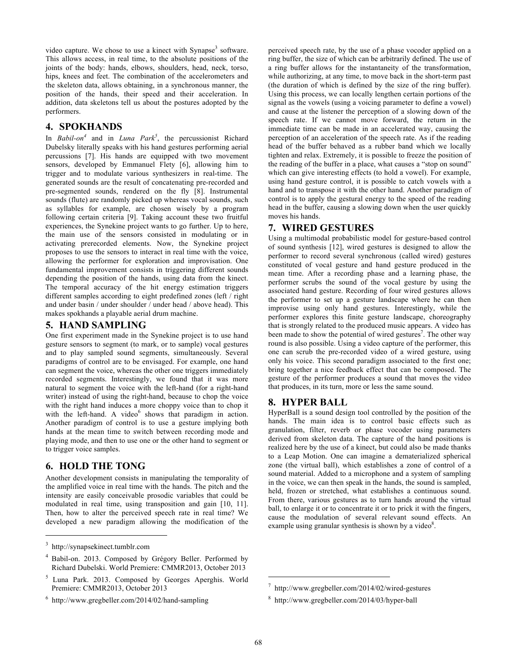video capture. We chose to use a kinect with Synapse<sup>3</sup> software. This allows access, in real time, to the absolute positions of the joints of the body: hands, elbows, shoulders, head, neck, torso, hips, knees and feet. The combination of the accelerometers and the skeleton data, allows obtaining, in a synchronous manner, the position of the hands, their speed and their acceleration. In addition, data skeletons tell us about the postures adopted by the performers.

#### **4. SPOKHANDS**

In *Babil-on*<sup>4</sup> and in *Luna Park*<sup>5</sup>, the percussionist Richard Dubelsky literally speaks with his hand gestures performing aerial percussions [7]. His hands are equipped with two movement sensors, developed by Emmanuel Flety [6], allowing him to trigger and to modulate various synthesizers in real-time. The generated sounds are the result of concatenating pre-recorded and pre-segmented sounds, rendered on the fly [8]. Instrumental sounds (flute) are randomly picked up whereas vocal sounds, such as syllables for example, are chosen wisely by a program following certain criteria [9]. Taking account these two fruitful experiences, the Synekine project wants to go further. Up to here, the main use of the sensors consisted in modulating or in activating prerecorded elements. Now, the Synekine project proposes to use the sensors to interact in real time with the voice, allowing the performer for exploration and improvisation. One fundamental improvement consists in triggering different sounds depending the position of the hands, using data from the kinect. The temporal accuracy of the hit energy estimation triggers different samples according to eight predefined zones (left / right and under basin / under shoulder / under head / above head). This makes spokhands a playable aerial drum machine.

### **5. HAND SAMPLING**

One first experiment made in the Synekine project is to use hand gesture sensors to segment (to mark, or to sample) vocal gestures and to play sampled sound segments, simultaneously. Several paradigms of control are to be envisaged. For example, one hand can segment the voice, whereas the other one triggers immediately recorded segments. Interestingly, we found that it was more natural to segment the voice with the left-hand (for a right-hand writer) instead of using the right-hand, because to chop the voice with the right hand induces a more choppy voice than to chop it with the left-hand. A video $<sup>6</sup>$  shows that paradigm in action.</sup> Another paradigm of control is to use a gesture implying both hands at the mean time to switch between recording mode and playing mode, and then to use one or the other hand to segment or to trigger voice samples.

# **6. HOLD THE TONG**

Another development consists in manipulating the temporality of the amplified voice in real time with the hands. The pitch and the intensity are easily conceivable prosodic variables that could be modulated in real time, using transposition and gain [10, 11]. Then, how to alter the perceived speech rate in real time? We developed a new paradigm allowing the modification of the

 $\overline{a}$ 

perceived speech rate, by the use of a phase vocoder applied on a ring buffer, the size of which can be arbitrarily defined. The use of a ring buffer allows for the instantaneity of the transformation, while authorizing, at any time, to move back in the short-term past (the duration of which is defined by the size of the ring buffer). Using this process, we can locally lengthen certain portions of the signal as the vowels (using a voicing parameter to define a vowel) and cause at the listener the perception of a slowing down of the speech rate. If we cannot move forward, the return in the immediate time can be made in an accelerated way, causing the perception of an acceleration of the speech rate. As if the reading head of the buffer behaved as a rubber band which we locally tighten and relax. Extremely, it is possible to freeze the position of the reading of the buffer in a place, what causes a "stop on sound" which can give interesting effects (to hold a vowel). For example, using hand gesture control, it is possible to catch vowels with a hand and to transpose it with the other hand. Another paradigm of control is to apply the gestural energy to the speed of the reading head in the buffer, causing a slowing down when the user quickly moves his hands.

# **7. WIRED GESTURES**

Using a multimodal probabilistic model for gesture-based control of sound synthesis [12], wired gestures is designed to allow the performer to record several synchronous (called wired) gestures constituted of vocal gesture and hand gesture produced in the mean time. After a recording phase and a learning phase, the performer scrubs the sound of the vocal gesture by using the associated hand gesture. Recording of four wired gestures allows the performer to set up a gesture landscape where he can then improvise using only hand gestures. Interestingly, while the performer explores this finite gesture landscape, choreography that is strongly related to the produced music appears. A video has been made to show the potential of wired gestures<sup>7</sup>. The other way round is also possible. Using a video capture of the performer, this one can scrub the pre-recorded video of a wired gesture, using only his voice. This second paradigm associated to the first one; bring together a nice feedback effect that can be composed. The gesture of the performer produces a sound that moves the video that produces, in its turn, more or less the same sound.

# **8. HYPER BALL**

HyperBall is a sound design tool controlled by the position of the hands. The main idea is to control basic effects such as granulation, filter, reverb or phase vocoder using parameters derived from skeleton data. The capture of the hand positions is realized here by the use of a kinect, but could also be made thanks to a Leap Motion. One can imagine a dematerialized spherical zone (the virtual ball), which establishes a zone of control of a sound material. Added to a microphone and a system of sampling in the voice, we can then speak in the hands, the sound is sampled, held, frozen or stretched, what establishes a continuous sound. From there, various gestures as to turn hands around the virtual ball, to enlarge it or to concentrate it or to prick it with the fingers, cause the modulation of several relevant sound effects. An example using granular synthesis is shown by a video<sup>8</sup>.

j

<sup>3</sup> http://synapsekinect.tumblr.com

<sup>4</sup> Babil-on. 2013. Composed by Grégory Beller. Performed by Richard Dubelski. World Premiere: CMMR2013, October 2013

<sup>5</sup> Luna Park. 2013. Composed by Georges Aperghis. World Premiere: CMMR2013, October 2013

<sup>6</sup> http://www.gregbeller.com/2014/02/hand-sampling

<sup>7</sup> http://www.gregbeller.com/2014/02/wired-gestures

<sup>8</sup> http://www.gregbeller.com/2014/03/hyper-ball